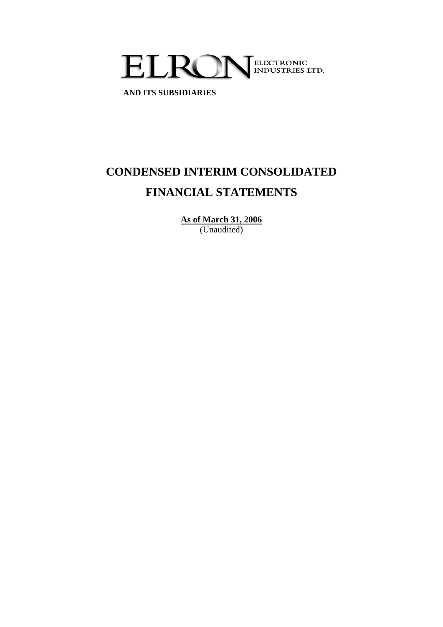

 **AND ITS SUBSIDIARIES**

# **CONDENSED INTERIM CONSOLIDATED FINANCIAL STATEMENTS**

**As of March 31, 2006** (Unaudited)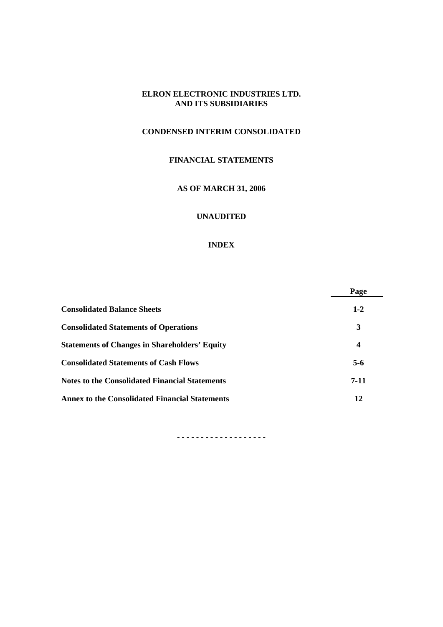# **CONDENSED INTERIM CONSOLIDATED**

# **FINANCIAL STATEMENTS**

## **AS OF MARCH 31, 2006**

# **UNAUDITED**

#### **INDEX**

|                                                       | Page    |
|-------------------------------------------------------|---------|
| <b>Consolidated Balance Sheets</b>                    | $1 - 2$ |
| <b>Consolidated Statements of Operations</b>          | 3       |
| <b>Statements of Changes in Shareholders' Equity</b>  | 4       |
| <b>Consolidated Statements of Cash Flows</b>          | $5-6$   |
| <b>Notes to the Consolidated Financial Statements</b> | $7-11$  |
| <b>Annex to the Consolidated Financial Statements</b> | 12      |

**- - - - - - - - - - - - - - - - - - -**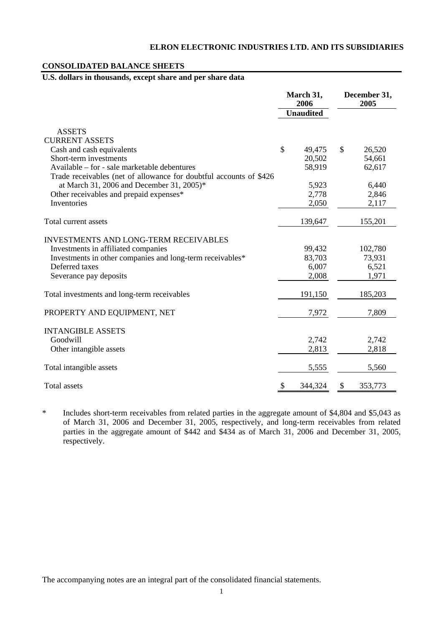#### **CONSOLIDATED BALANCE SHEETS**

# **U.S. dollars in thousands, except share and per share data**

|                                                                             | March 31,<br>2006<br><b>Unaudited</b> | December 31,<br>2005 |
|-----------------------------------------------------------------------------|---------------------------------------|----------------------|
| <b>ASSETS</b>                                                               |                                       |                      |
| <b>CURRENT ASSETS</b>                                                       |                                       |                      |
| Cash and cash equivalents                                                   | \$<br>49,475                          | \$<br>26,520         |
| Short-term investments                                                      | 20,502                                | 54,661               |
| Available – for - sale marketable debentures                                | 58,919                                | 62,617               |
| Trade receivables (net of allowance for doubtful accounts of \$426          |                                       |                      |
| at March 31, 2006 and December 31, 2005)*                                   | 5,923                                 | 6,440                |
| Other receivables and prepaid expenses*                                     | 2,778                                 | 2,846                |
| Inventories                                                                 | 2,050                                 | 2,117                |
| Total current assets                                                        | 139,647                               | 155,201              |
|                                                                             |                                       |                      |
| <b>INVESTMENTS AND LONG-TERM RECEIVABLES</b>                                |                                       |                      |
| Investments in affiliated companies                                         | 99,432                                | 102,780              |
| Investments in other companies and long-term receivables*<br>Deferred taxes | 83,703<br>6,007                       | 73,931<br>6,521      |
| Severance pay deposits                                                      | 2,008                                 | 1,971                |
|                                                                             |                                       |                      |
| Total investments and long-term receivables                                 | 191,150                               | 185,203              |
| PROPERTY AND EQUIPMENT, NET                                                 | 7,972                                 | 7,809                |
| <b>INTANGIBLE ASSETS</b>                                                    |                                       |                      |
| Goodwill                                                                    | 2,742                                 | 2,742                |
| Other intangible assets                                                     | 2,813                                 | 2,818                |
|                                                                             |                                       |                      |
| Total intangible assets                                                     | 5,555                                 | 5,560                |
| <b>Total</b> assets                                                         | \$<br>344,324                         | \$<br>353,773        |

\* Includes short-term receivables from related parties in the aggregate amount of \$4,804 and \$5,043 as of March 31, 2006 and December 31, 2005, respectively, and long-term receivables from related parties in the aggregate amount of \$442 and \$434 as of March 31, 2006 and December 31, 2005, respectively.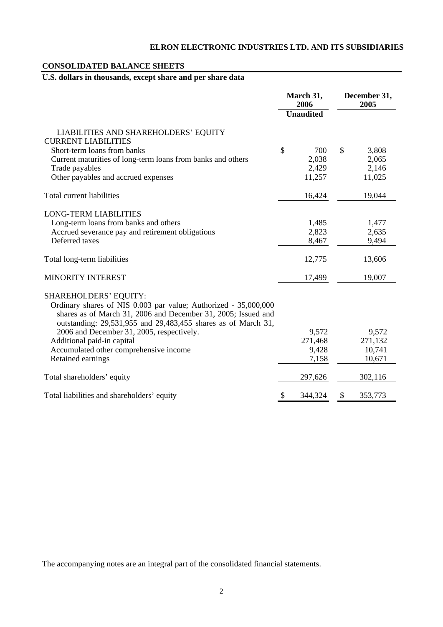## **CONSOLIDATED BALANCE SHEETS**

# **U.S. dollars in thousands, except share and per share data**

|                                                                                                                                                                                                                                                                                                                                                                             | March 31,<br>2006<br><b>Unaudited</b> | December 31,<br>2005                 |
|-----------------------------------------------------------------------------------------------------------------------------------------------------------------------------------------------------------------------------------------------------------------------------------------------------------------------------------------------------------------------------|---------------------------------------|--------------------------------------|
| LIABILITIES AND SHAREHOLDERS' EQUITY<br><b>CURRENT LIABILITIES</b><br>Short-term loans from banks                                                                                                                                                                                                                                                                           | \$<br>700                             | \$<br>3,808                          |
| Current maturities of long-term loans from banks and others<br>Trade payables<br>Other payables and accrued expenses                                                                                                                                                                                                                                                        | 2,038<br>2,429<br>11,257              | 2,065<br>2,146<br>11,025             |
| Total current liabilities                                                                                                                                                                                                                                                                                                                                                   | 16,424                                | 19,044                               |
| <b>LONG-TERM LIABILITIES</b><br>Long-term loans from banks and others<br>Accrued severance pay and retirement obligations<br>Deferred taxes                                                                                                                                                                                                                                 | 1,485<br>2,823<br>8,467               | 1,477<br>2,635<br>9,494              |
| Total long-term liabilities                                                                                                                                                                                                                                                                                                                                                 | 12,775                                | 13,606                               |
| MINORITY INTEREST                                                                                                                                                                                                                                                                                                                                                           | 17,499                                | 19,007                               |
| <b>SHAREHOLDERS' EQUITY:</b><br>Ordinary shares of NIS 0.003 par value; Authorized - 35,000,000<br>shares as of March 31, 2006 and December 31, 2005; Issued and<br>outstanding: 29,531,955 and 29,483,455 shares as of March 31,<br>2006 and December 31, 2005, respectively.<br>Additional paid-in capital<br>Accumulated other comprehensive income<br>Retained earnings | 9,572<br>271,468<br>9,428<br>7,158    | 9,572<br>271,132<br>10,741<br>10,671 |
| Total shareholders' equity                                                                                                                                                                                                                                                                                                                                                  | 297,626                               | 302,116                              |
| Total liabilities and shareholders' equity                                                                                                                                                                                                                                                                                                                                  | \$<br>344,324                         | \$<br>353,773                        |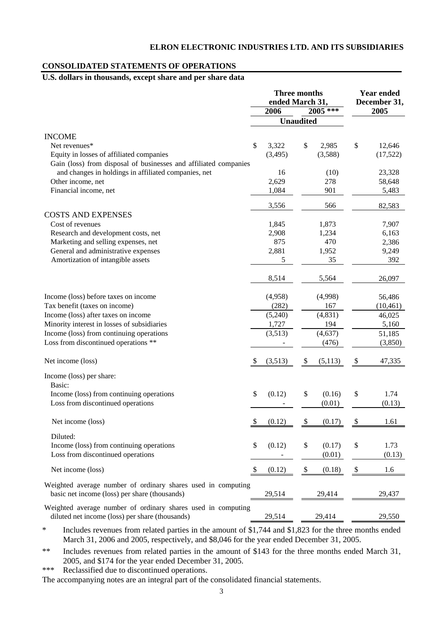#### **CONSOLIDATED STATEMENTS OF OPERATIONS**

# **U.S. dollars in thousands, except share and per share data**

|                                                                                                                 |    | <b>Three months</b><br>ended March 31, | <b>Year ended</b><br>December 31, |          |    |           |
|-----------------------------------------------------------------------------------------------------------------|----|----------------------------------------|-----------------------------------|----------|----|-----------|
|                                                                                                                 |    | 2006                                   |                                   | 2005 *** |    | 2005      |
|                                                                                                                 |    |                                        | <b>Unaudited</b>                  |          |    |           |
| <b>INCOME</b>                                                                                                   |    |                                        |                                   |          |    |           |
| Net revenues*                                                                                                   | \$ | 3,322                                  | \$                                | 2,985    | \$ | 12,646    |
| Equity in losses of affiliated companies                                                                        |    | (3,495)                                |                                   | (3,588)  |    | (17,522)  |
| Gain (loss) from disposal of businesses and affiliated companies                                                |    |                                        |                                   |          |    |           |
| and changes in holdings in affiliated companies, net                                                            |    | 16                                     |                                   | (10)     |    | 23,328    |
| Other income, net                                                                                               |    | 2,629                                  |                                   | 278      |    | 58,648    |
| Financial income, net                                                                                           |    | 1,084                                  |                                   | 901      |    | 5,483     |
|                                                                                                                 |    | 3,556                                  |                                   | 566      |    | 82,583    |
| <b>COSTS AND EXPENSES</b>                                                                                       |    |                                        |                                   |          |    |           |
| Cost of revenues                                                                                                |    | 1,845                                  |                                   | 1,873    |    | 7,907     |
| Research and development costs, net                                                                             |    | 2,908                                  |                                   | 1,234    |    | 6,163     |
| Marketing and selling expenses, net                                                                             |    | 875                                    |                                   | 470      |    | 2,386     |
| General and administrative expenses                                                                             |    | 2,881                                  |                                   | 1,952    |    | 9,249     |
| Amortization of intangible assets                                                                               |    | 5                                      |                                   | 35       |    | 392       |
|                                                                                                                 |    | 8,514                                  |                                   | 5,564    |    | 26,097    |
| Income (loss) before taxes on income                                                                            |    | (4,958)                                |                                   | (4,998)  |    | 56,486    |
| Tax benefit (taxes on income)                                                                                   |    | (282)                                  |                                   | 167      |    | (10, 461) |
| Income (loss) after taxes on income                                                                             |    | (5,240)                                |                                   | (4, 831) |    | 46,025    |
| Minority interest in losses of subsidiaries                                                                     |    | 1,727                                  |                                   | 194      |    | 5,160     |
| Income (loss) from continuing operations                                                                        |    | (3,513)                                |                                   | (4, 637) |    | 51,185    |
| Loss from discontinued operations **                                                                            |    |                                        |                                   | (476)    |    | (3,850)   |
| Net income (loss)                                                                                               | S  | (3,513)                                | \$                                | (5,113)  | \$ | 47,335    |
| Income (loss) per share:                                                                                        |    |                                        |                                   |          |    |           |
| Basic:                                                                                                          |    |                                        |                                   |          |    |           |
| Income (loss) from continuing operations                                                                        | \$ | (0.12)                                 | \$                                | (0.16)   | \$ | 1.74      |
| Loss from discontinued operations                                                                               |    |                                        |                                   | (0.01)   |    | (0.13)    |
| Net income (loss)                                                                                               | \$ | (0.12)                                 | \$                                | (0.17)   | \$ | 1.61      |
| Diluted:                                                                                                        |    |                                        |                                   |          |    |           |
| Income (loss) from continuing operations                                                                        | \$ | (0.12)                                 | $\$$                              | (0.17)   | \$ | 1.73      |
| Loss from discontinued operations                                                                               |    |                                        |                                   | (0.01)   |    | (0.13)    |
| Net income (loss)                                                                                               | \$ | (0.12)                                 | $\$$                              | (0.18)   | \$ | 1.6       |
| Weighted average number of ordinary shares used in computing                                                    |    |                                        |                                   |          |    |           |
| basic net income (loss) per share (thousands)                                                                   |    | 29,514                                 |                                   | 29,414   |    | 29,437    |
| Weighted average number of ordinary shares used in computing<br>diluted net income (loss) per share (thousands) |    | 29,514                                 |                                   | 29,414   |    | 29,550    |

\* Includes revenues from related parties in the amount of \$1,744 and \$1,823 for the three months ended March 31, 2006 and 2005, respectively, and \$8,046 for the year ended December 31, 2005.

\*\* Includes revenues from related parties in the amount of \$143 for the three months ended March 31, 2005, and \$174 for the year ended December 31, 2005.

\*\*\* Reclassified due to discontinued operations.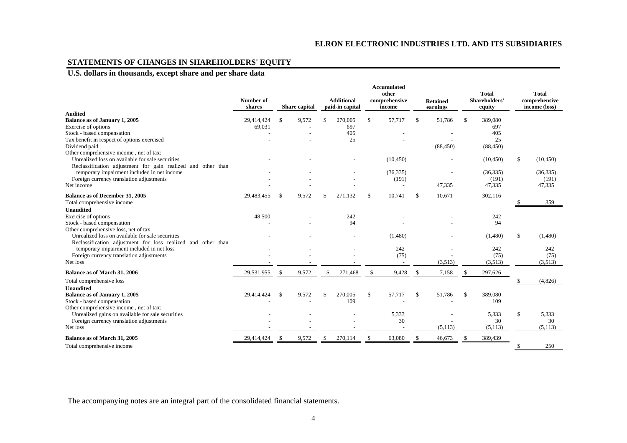# **STATEMENTS OF CHANGES IN SHAREHOLDERS' EQUITY**

# **U.S. dollars in thousands, except share and per share data**

|                                                              | Number of<br>shares |              | <b>Share</b> capital |     | <b>Additional</b><br>paid-in capital | <b>Accumulated</b><br>other<br>comprehensive<br>income |           |             |           |               |                 |              | <b>Retained</b><br>earnings |  | <b>Total</b><br>Shareholders'<br>equity |  | <b>Total</b><br>comprehensive<br>income (loss) |
|--------------------------------------------------------------|---------------------|--------------|----------------------|-----|--------------------------------------|--------------------------------------------------------|-----------|-------------|-----------|---------------|-----------------|--------------|-----------------------------|--|-----------------------------------------|--|------------------------------------------------|
| <b>Audited</b>                                               |                     |              |                      |     |                                      |                                                        |           |             |           |               |                 |              |                             |  |                                         |  |                                                |
| Balance as of January 1, 2005                                | 29,414,424          | \$.          | 9,572                | \$. | 270,005                              | $\mathbb{S}$                                           | 57,717    | \$.         | 51,786    | £.            | 389,080         |              |                             |  |                                         |  |                                                |
| Exercise of options                                          | 69,031              |              |                      |     | 697                                  |                                                        |           |             |           |               | 697             |              |                             |  |                                         |  |                                                |
| Stock - based compensation                                   |                     |              |                      |     | 405                                  |                                                        |           |             |           |               | 405             |              |                             |  |                                         |  |                                                |
| Tax benefit in respect of options exercised<br>Dividend paid |                     |              |                      |     | 25                                   |                                                        |           |             | (88, 450) |               | 25<br>(88, 450) |              |                             |  |                                         |  |                                                |
| Other comprehensive income, net of tax:                      |                     |              |                      |     |                                      |                                                        |           |             |           |               |                 |              |                             |  |                                         |  |                                                |
| Unrealized loss on available for sale securities             |                     |              |                      |     |                                      |                                                        | (10, 450) |             |           |               | (10, 450)       | \$           | (10, 450)                   |  |                                         |  |                                                |
| Reclassification adjustment for gain realized and other than |                     |              |                      |     |                                      |                                                        |           |             |           |               |                 |              |                             |  |                                         |  |                                                |
| temporary impairment included in net income                  |                     |              |                      |     |                                      |                                                        | (36, 335) |             |           |               | (36, 335)       |              | (36, 335)                   |  |                                         |  |                                                |
| Foreign currency translation adjustments                     |                     |              |                      |     |                                      |                                                        | (191)     |             |           |               | (191)           |              | (191)                       |  |                                         |  |                                                |
| Net income                                                   |                     |              |                      |     |                                      |                                                        |           |             | 47,335    |               | 47,335          |              | 47,335                      |  |                                         |  |                                                |
| Balance as of December 31, 2005                              | 29,483,455          | $\mathbb{S}$ | 9,572                | \$  | 271,132                              | $\mathbb{S}$                                           | 10,741    | \$.         | 10,671    |               | 302,116         |              |                             |  |                                         |  |                                                |
| Total comprehensive income                                   |                     |              |                      |     |                                      |                                                        |           |             |           |               |                 |              | 359                         |  |                                         |  |                                                |
| <b>Unaudited</b>                                             |                     |              |                      |     |                                      |                                                        |           |             |           |               |                 |              |                             |  |                                         |  |                                                |
| Exercise of options                                          | 48,500              |              |                      |     | 242                                  |                                                        |           |             |           |               | 242             |              |                             |  |                                         |  |                                                |
| Stock - based compensation                                   |                     |              |                      |     | 94                                   |                                                        |           |             |           |               | 94              |              |                             |  |                                         |  |                                                |
| Other comprehensive loss, net of tax:                        |                     |              |                      |     |                                      |                                                        |           |             |           |               |                 |              |                             |  |                                         |  |                                                |
| Unrealized loss on available for sale securities             |                     |              |                      |     |                                      |                                                        | (1,480)   |             |           |               | (1,480)         | \$           | (1,480)                     |  |                                         |  |                                                |
| Reclassification adjustment for loss realized and other than |                     |              |                      |     |                                      |                                                        |           |             |           |               |                 |              |                             |  |                                         |  |                                                |
| temporary impairment included in net loss                    |                     |              |                      |     |                                      |                                                        | 242       |             |           |               | 242             |              | 242                         |  |                                         |  |                                                |
| Foreign currency translation adjustments                     |                     |              |                      |     |                                      |                                                        | (75)      |             |           |               | (75)            |              | (75)                        |  |                                         |  |                                                |
| Net loss                                                     |                     |              |                      |     |                                      |                                                        |           |             | (3,513)   |               | (3,513)         |              | (3,513)                     |  |                                         |  |                                                |
| Balance as of March 31, 2006                                 | 29,531,955          | -S           | 9,572                | \$. | 271,468                              | S                                                      | 9,428     |             | 7,158     | -S            | 297,626         |              |                             |  |                                         |  |                                                |
| Total comprehensive loss                                     |                     |              |                      |     |                                      |                                                        |           |             |           |               |                 |              | (4,826)                     |  |                                         |  |                                                |
| Unaudited                                                    |                     |              |                      |     |                                      |                                                        |           |             |           |               |                 |              |                             |  |                                         |  |                                                |
| Balance as of January 1, 2005                                | 29,414,424          | $\mathbb{S}$ | 9,572                | \$  | 270,005                              | \$                                                     | 57,717    | $\mathbf S$ | 51,786    | <sup>\$</sup> | 389,080         |              |                             |  |                                         |  |                                                |
| Stock - based compensation                                   |                     |              |                      |     | 109                                  |                                                        |           |             |           |               | 109             |              |                             |  |                                         |  |                                                |
| Other comprehensive income, net of tax:                      |                     |              |                      |     |                                      |                                                        |           |             |           |               |                 |              |                             |  |                                         |  |                                                |
| Unrealized gains on available for sale securities            |                     |              |                      |     |                                      |                                                        | 5,333     |             |           |               | 5,333           | $\mathbb{S}$ | 5,333                       |  |                                         |  |                                                |
| Foreign currency translation adjustments                     |                     |              |                      |     |                                      |                                                        | 30        |             |           |               | 30              |              | 30                          |  |                                         |  |                                                |
| Net loss                                                     |                     |              |                      |     |                                      |                                                        |           |             | (5, 113)  |               | (5, 113)        |              | (5,113)                     |  |                                         |  |                                                |
| Balance as of March 31, 2005                                 | 29,414,424          | S            | 9,572                | \$  | 270,114                              |                                                        | 63,080    |             | 46,673    |               | 389,439         |              |                             |  |                                         |  |                                                |
| Total comprehensive income                                   |                     |              |                      |     |                                      |                                                        |           |             |           |               |                 | \$           | 250                         |  |                                         |  |                                                |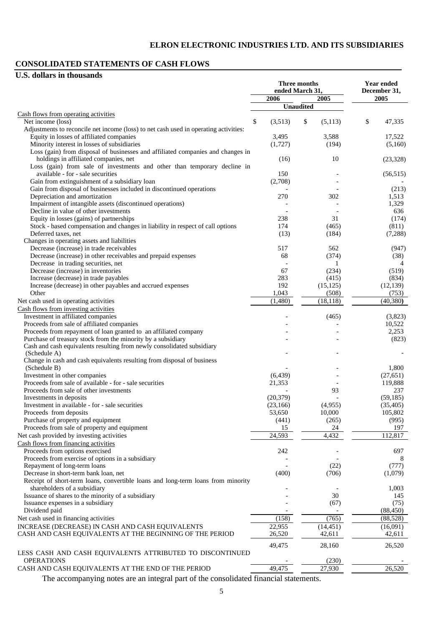# **CONSOLIDATED STATEMENTS OF CASH FLOWS**

# **U.S. dollars in thousands**

|                                                                                                                                  |                       | <b>Three months</b><br>ended March 31, | <b>Year ended</b><br>December 31, |
|----------------------------------------------------------------------------------------------------------------------------------|-----------------------|----------------------------------------|-----------------------------------|
|                                                                                                                                  | 2006                  | 2005                                   | 2005                              |
|                                                                                                                                  |                       | <b>Unaudited</b>                       |                                   |
| Cash flows from operating activities                                                                                             |                       |                                        |                                   |
| Net income (loss)                                                                                                                | \$<br>(3,513)         | \$<br>(5,113)                          | \$<br>47,335                      |
| Adjustments to reconcile net income (loss) to net cash used in operating activities:<br>Equity in losses of affiliated companies | 3,495                 | 3,588                                  | 17,522                            |
| Minority interest in losses of subsidiaries                                                                                      | (1,727)               | (194)                                  | (5,160)                           |
| Loss (gain) from disposal of businesses and affiliated companies and changes in                                                  |                       |                                        |                                   |
| holdings in affiliated companies, net                                                                                            | (16)                  | 10                                     | (23, 328)                         |
| Loss (gain) from sale of investments and other than temporary decline in                                                         |                       |                                        |                                   |
| available - for - sale securities                                                                                                | 150                   |                                        | (56, 515)                         |
| Gain from extinguishment of a subsidiary loan                                                                                    | (2,708)               |                                        |                                   |
| Gain from disposal of businesses included in discontinued operations                                                             |                       |                                        | (213)                             |
| Depreciation and amortization                                                                                                    | 270                   | 302                                    | 1,513                             |
| Impairment of intangible assets (discontinued operations)                                                                        |                       |                                        | 1,329                             |
| Decline in value of other investments<br>Equity in losses (gains) of partnerships                                                | 238                   | 31                                     | 636                               |
| Stock - based compensation and changes in liability in respect of call options                                                   | 174                   | (465)                                  | (174)<br>(811)                    |
| Deferred taxes, net                                                                                                              | (13)                  | (184)                                  | (7, 288)                          |
| Changes in operating assets and liabilities                                                                                      |                       |                                        |                                   |
| Decrease (increase) in trade receivables                                                                                         | 517                   | 562                                    | (947)                             |
| Decrease (increase) in other receivables and prepaid expenses                                                                    | 68                    | (374)                                  | (38)                              |
| Decrease in trading securities, net                                                                                              |                       | 1                                      | $\overline{4}$                    |
| Decrease (increase) in inventories                                                                                               | 67                    | (234)                                  | (519)                             |
| Increase (decrease) in trade payables                                                                                            | 283                   | (415)                                  | (834)                             |
| Increase (decrease) in other payables and accrued expenses                                                                       | 192                   | (15, 125)                              | (12, 139)                         |
| Other                                                                                                                            | 1,043                 | (508)                                  | (753)                             |
| Net cash used in operating activities                                                                                            | (1,480)               | (18, 118)                              | (40, 380)                         |
| Cash flows from investing activities                                                                                             |                       |                                        |                                   |
| Investment in affiliated companies<br>Proceeds from sale of affiliated companies                                                 |                       | (465)                                  | (3,823)<br>10,522                 |
| Proceeds from repayment of loan granted to an affiliated company                                                                 |                       |                                        | 2,253                             |
| Purchase of treasury stock from the minority by a subsidiary                                                                     |                       |                                        | (823)                             |
| Cash and cash equivalents resulting from newly consolidated subsidiary                                                           |                       |                                        |                                   |
| (Schedule A)                                                                                                                     |                       |                                        |                                   |
| Change in cash and cash equivalents resulting from disposal of business                                                          |                       |                                        |                                   |
| (Schedule B)                                                                                                                     |                       |                                        | 1,800                             |
| Investment in other companies                                                                                                    | (6, 439)              |                                        | (27, 651)                         |
| Proceeds from sale of available - for - sale securities                                                                          | 21,353                |                                        | 119,888                           |
| Proceeds from sale of other investments                                                                                          |                       | 93                                     | 237<br>(59, 185)                  |
| Investments in deposits<br>Investment in available - for - sale securities                                                       | (20, 379)<br>(23,166) | (4,955)                                | (35, 405)                         |
| Proceeds from deposits                                                                                                           | 53,650                | 10,000                                 | 105,802                           |
| Purchase of property and equipment                                                                                               | (441)                 | (265)                                  | (995)                             |
| Proceeds from sale of property and equipment                                                                                     | 15                    | 24                                     | 197                               |
| Net cash provided by investing activities                                                                                        | 24,593                | 4,432                                  | 112,817                           |
| Cash flows from financing activities                                                                                             |                       |                                        |                                   |
| Proceeds from options exercised                                                                                                  | 242                   |                                        | 697                               |
| Proceeds from exercise of options in a subsidiary                                                                                |                       |                                        |                                   |
| Repayment of long-term loans                                                                                                     |                       | (22)                                   | (777)                             |
| Decrease in short-term bank loan, net                                                                                            | (400)                 | (706)                                  | (1,079)                           |
| Receipt of short-term loans, convertible loans and long-term loans from minority                                                 |                       |                                        |                                   |
| shareholders of a subsidiary<br>Issuance of shares to the minority of a subsidiary                                               |                       | 30                                     | 1,003<br>145                      |
| Issuance expenses in a subsidiary                                                                                                |                       | (67)                                   | (75)                              |
| Dividend paid                                                                                                                    |                       |                                        | (88, 450)                         |
| Net cash used in financing activities                                                                                            | (158)                 | (765)                                  | (88, 528)                         |
| INCREASE (DECREASE) IN CASH AND CASH EQUIVALENTS                                                                                 | 22,955                | (14, 451)                              | (16,091)                          |
| CASH AND CASH EQUIVALENTS AT THE BEGINNING OF THE PERIOD                                                                         | 26,520                | 42,611                                 | 42,611                            |
|                                                                                                                                  |                       |                                        |                                   |
|                                                                                                                                  | 49,475                | 28,160                                 | 26,520                            |
| LESS CASH AND CASH EQUIVALENTS ATTRIBUTED TO DISCONTINUED<br><b>OPERATIONS</b>                                                   |                       | (230)                                  |                                   |
| CASH AND CASH EQUIVALENTS AT THE END OF THE PERIOD                                                                               | 49,475                | 27,930                                 | 26,520                            |
|                                                                                                                                  |                       |                                        |                                   |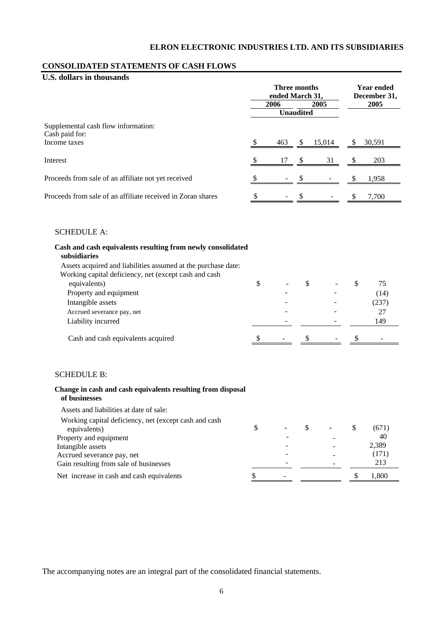## **CONSOLIDATED STATEMENTS OF CASH FLOWS**

# **U.S. dollars in thousands**

|                                                             | Three months<br>ended March 31, |      |                  |        |  | <b>Year ended</b><br>December 31, |  |  |
|-------------------------------------------------------------|---------------------------------|------|------------------|--------|--|-----------------------------------|--|--|
|                                                             |                                 | 2006 |                  | 2005   |  | 2005                              |  |  |
|                                                             |                                 |      | <b>Unaudited</b> |        |  |                                   |  |  |
| Supplemental cash flow information:<br>Cash paid for:       |                                 |      |                  |        |  |                                   |  |  |
| Income taxes                                                |                                 | 463  | -S               | 15,014 |  | 30,591                            |  |  |
| Interest                                                    |                                 | 17   | <sup>\$</sup>    | 31     |  | 203                               |  |  |
| Proceeds from sale of an affiliate not yet received         |                                 |      |                  |        |  | 1,958                             |  |  |
| Proceeds from sale of an affiliate received in Zoran shares | \$                              |      |                  |        |  | 7.700                             |  |  |

#### SCHEDULE A:

| Cash and cash equivalents resulting from newly consolidated<br>subsidiaries |   |  |  |       |
|-----------------------------------------------------------------------------|---|--|--|-------|
| Assets acquired and liabilities assumed at the purchase date:               |   |  |  |       |
| Working capital deficiency, net (except cash and cash                       |   |  |  |       |
| equivalents)                                                                | S |  |  | 75    |
| Property and equipment                                                      |   |  |  | (14)  |
| Intangible assets                                                           |   |  |  | (237) |
| Accrued severance pay, net                                                  |   |  |  | 27    |
| Liability incurred                                                          |   |  |  | 149   |
| Cash and cash equivalents acquired                                          |   |  |  |       |

#### SCHEDULE B:

#### **Change in cash and cash equivalents resulting from disposal of businesses**  Assets and liabilities at date of sale:

| Assets and habilities at date of sale:                 |  |  |       |
|--------------------------------------------------------|--|--|-------|
| Working capital deficiency, net (except cash and cash) |  |  |       |
| equivalents)                                           |  |  | (671) |
| Property and equipment                                 |  |  | 40    |
| Intangible assets                                      |  |  | 2,389 |
| Accrued severance pay, net                             |  |  | (171) |
| Gain resulting from sale of businesses                 |  |  | 213   |
| Net increase in cash and cash equivalents              |  |  | 1,800 |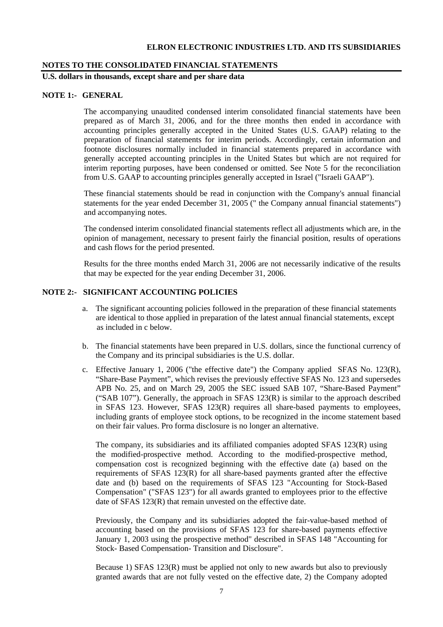#### **NOTES TO THE CONSOLIDATED FINANCIAL STATEMENTS**

**U.S. dollars in thousands, except share and per share data** 

#### **NOTE 1:- GENERAL**

The accompanying unaudited condensed interim consolidated financial statements have been prepared as of March 31, 2006, and for the three months then ended in accordance with accounting principles generally accepted in the United States (U.S. GAAP) relating to the preparation of financial statements for interim periods. Accordingly, certain information and footnote disclosures normally included in financial statements prepared in accordance with generally accepted accounting principles in the United States but which are not required for interim reporting purposes, have been condensed or omitted. See Note 5 for the reconciliation from U.S. GAAP to accounting principles generally accepted in Israel ("Israeli GAAP").

These financial statements should be read in conjunction with the Company's annual financial statements for the year ended December 31, 2005 (" the Company annual financial statements") and accompanying notes.

The condensed interim consolidated financial statements reflect all adjustments which are, in the opinion of management, necessary to present fairly the financial position, results of operations and cash flows for the period presented.

Results for the three months ended March 31, 2006 are not necessarily indicative of the results that may be expected for the year ending December 31, 2006.

# **NOTE 2:- SIGNIFICANT ACCOUNTING POLICIES**

- a. The significant accounting policies followed in the preparation of these financial statements are identical to those applied in preparation of the latest annual financial statements, except as included in c below.
- b. The financial statements have been prepared in U.S. dollars, since the functional currency of the Company and its principal subsidiaries is the U.S. dollar.
- c. Effective January 1, 2006 ("the effective date") the Company applied SFAS No. 123(R), "Share-Base Payment", which revises the previously effective SFAS No. 123 and supersedes APB No. 25, and on March 29, 2005 the SEC issued SAB 107, "Share-Based Payment" ("SAB 107"). Generally, the approach in SFAS 123(R) is similar to the approach described in SFAS 123. However, SFAS 123(R) requires all share-based payments to employees, including grants of employee stock options, to be recognized in the income statement based on their fair values. Pro forma disclosure is no longer an alternative.

The company, its subsidiaries and its affiliated companies adopted SFAS 123(R) using the modified-prospective method. According to the modified-prospective method, compensation cost is recognized beginning with the effective date (a) based on the requirements of SFAS 123(R) for all share-based payments granted after the effective date and (b) based on the requirements of SFAS 123 "Accounting for Stock-Based Compensation" ("SFAS 123") for all awards granted to employees prior to the effective date of SFAS 123(R) that remain unvested on the effective date.

Previously, the Company and its subsidiaries adopted the fair-value-based method of accounting based on the provisions of SFAS 123 for share-based payments effective January 1, 2003 using the prospective method" described in SFAS 148 "Accounting for Stock- Based Compensation- Transition and Disclosure".

Because 1) SFAS 123(R) must be applied not only to new awards but also to previously granted awards that are not fully vested on the effective date, 2) the Company adopted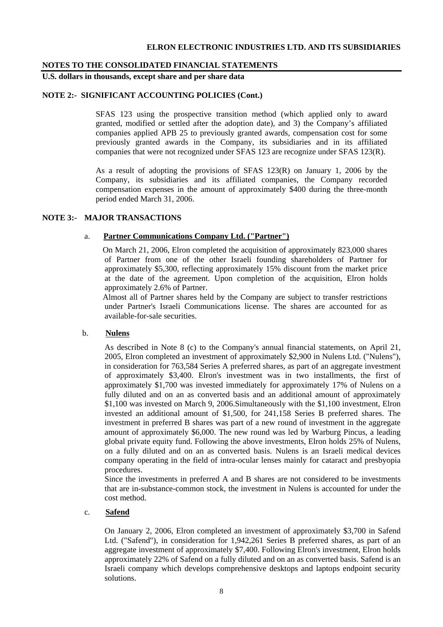#### **NOTES TO THE CONSOLIDATED FINANCIAL STATEMENTS**

**U.S. dollars in thousands, except share and per share data** 

# **NOTE 2:- SIGNIFICANT ACCOUNTING POLICIES (Cont.)**

SFAS 123 using the prospective transition method (which applied only to award granted, modified or settled after the adoption date), and 3) the Company's affiliated companies applied APB 25 to previously granted awards, compensation cost for some previously granted awards in the Company, its subsidiaries and in its affiliated companies that were not recognized under SFAS 123 are recognize under SFAS 123(R).

As a result of adopting the provisions of SFAS 123(R) on January 1, 2006 by the Company, its subsidiaries and its affiliated companies, the Company recorded compensation expenses in the amount of approximately \$400 during the three-month period ended March 31, 2006.

#### **NOTE 3:- MAJOR TRANSACTIONS**

#### a. **Partner Communications Company Ltd. ("Partner")**

On March 21, 2006, Elron completed the acquisition of approximately 823,000 shares of Partner from one of the other Israeli founding shareholders of Partner for approximately \$5,300, reflecting approximately 15% discount from the market price at the date of the agreement. Upon completion of the acquisition, Elron holds approximately 2.6% of Partner.

Almost all of Partner shares held by the Company are subject to transfer restrictions under Partner's Israeli Communications license. The shares are accounted for as available-for-sale securities.

#### b. **Nulens**

As described in Note 8 (c) to the Company's annual financial statements, on April 21, 2005, Elron completed an investment of approximately \$2,900 in Nulens Ltd. ("Nulens"), in consideration for 763,584 Series A preferred shares, as part of an aggregate investment of approximately \$3,400. Elron's investment was in two installments, the first of approximately \$1,700 was invested immediately for approximately 17% of Nulens on a fully diluted and on an as converted basis and an additional amount of approximately \$1,100 was invested on March 9, 2006.Simultaneously with the \$1,100 investment, Elron invested an additional amount of \$1,500, for 241,158 Series B preferred shares. The investment in preferred B shares was part of a new round of investment in the aggregate amount of approximately \$6,000. The new round was led by Warburg Pincus, a leading global private equity fund. Following the above investments, Elron holds 25% of Nulens, on a fully diluted and on an as converted basis. Nulens is an Israeli medical devices company operating in the field of intra-ocular lenses mainly for cataract and presbyopia procedures.

Since the investments in preferred A and B shares are not considered to be investments that are in-substance-common stock, the investment in Nulens is accounted for under the cost method.

# c. **Safend**

On January 2, 2006, Elron completed an investment of approximately \$3,700 in Safend Ltd. ("Safend"), in consideration for 1,942,261 Series B preferred shares, as part of an aggregate investment of approximately \$7,400. Following Elron's investment, Elron holds approximately 22% of Safend on a fully diluted and on an as converted basis. Safend is an Israeli company which develops comprehensive desktops and laptops endpoint security solutions.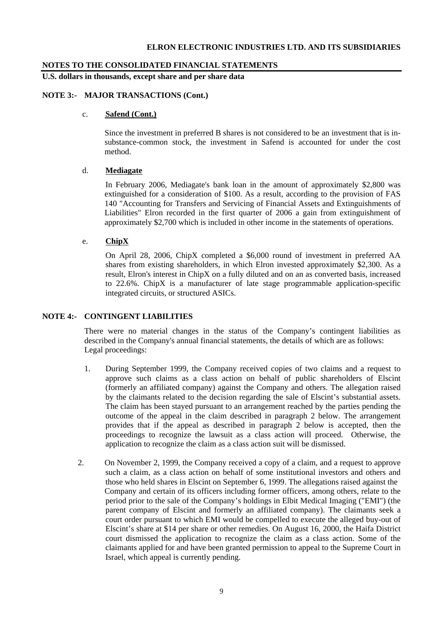#### **NOTES TO THE CONSOLIDATED FINANCIAL STATEMENTS**

**U.S. dollars in thousands, except share and per share data** 

# **NOTE 3:- MAJOR TRANSACTIONS (Cont.)**

#### c. **Safend (Cont.)**

Since the investment in preferred B shares is not considered to be an investment that is insubstance-common stock, the investment in Safend is accounted for under the cost method.

#### d. **Mediagate**

 In February 2006, Mediagate's bank loan in the amount of approximately \$2,800 was extinguished for a consideration of \$100. As a result, according to the provision of FAS 140 "Accounting for Transfers and Servicing of Financial Assets and Extinguishments of Liabilities" Elron recorded in the first quarter of 2006 a gain from extinguishment of approximately \$2,700 which is included in other income in the statements of operations.

#### e. **ChipX**

 On April 28, 2006, ChipX completed a \$6,000 round of investment in preferred AA shares from existing shareholders, in which Elron invested approximately \$2,300. As a result, Elron's interest in ChipX on a fully diluted and on an as converted basis, increased to 22.6%. ChipX is a manufacturer of late stage programmable application-specific integrated circuits, or structured ASICs.

#### **NOTE 4:- CONTINGENT LIABILITIES**

There were no material changes in the status of the Company's contingent liabilities as described in the Company's annual financial statements, the details of which are as follows: Legal proceedings:

- 1. During September 1999, the Company received copies of two claims and a request to approve such claims as a class action on behalf of public shareholders of Elscint (formerly an affiliated company) against the Company and others. The allegation raised by the claimants related to the decision regarding the sale of Elscint's substantial assets. The claim has been stayed pursuant to an arrangement reached by the parties pending the outcome of the appeal in the claim described in paragraph 2 below. The arrangement provides that if the appeal as described in paragraph 2 below is accepted, then the proceedings to recognize the lawsuit as a class action will proceed. Otherwise, the application to recognize the claim as a class action suit will be dismissed.
- 2. On November 2, 1999, the Company received a copy of a claim, and a request to approve such a claim, as a class action on behalf of some institutional investors and others and those who held shares in Elscint on September 6, 1999. The allegations raised against the Company and certain of its officers including former officers, among others, relate to the period prior to the sale of the Company's holdings in Elbit Medical Imaging ("EMI") (the parent company of Elscint and formerly an affiliated company). The claimants seek a court order pursuant to which EMI would be compelled to execute the alleged buy-out of Elscint's share at \$14 per share or other remedies. On August 16, 2000, the Haifa District court dismissed the application to recognize the claim as a class action. Some of the claimants applied for and have been granted permission to appeal to the Supreme Court in Israel, which appeal is currently pending.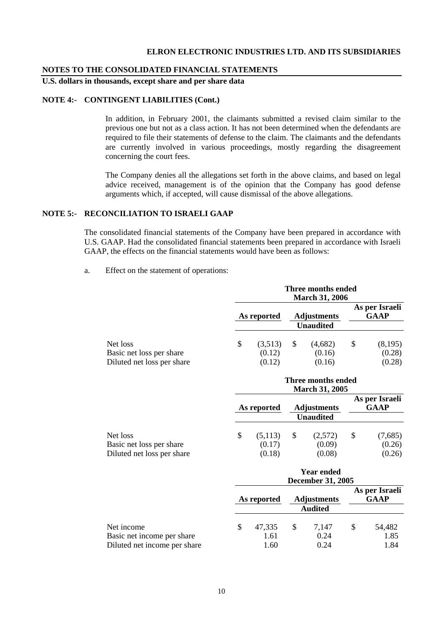#### **NOTES TO THE CONSOLIDATED FINANCIAL STATEMENTS**

**U.S. dollars in thousands, except share and per share data** 

#### **NOTE 4:- CONTINGENT LIABILITIES (Cont.)**

 In addition, in February 2001, the claimants submitted a revised claim similar to the previous one but not as a class action. It has not been determined when the defendants are required to file their statements of defense to the claim. The claimants and the defendants are currently involved in various proceedings, mostly regarding the disagreement concerning the court fees.

 The Company denies all the allegations set forth in the above claims, and based on legal advice received, management is of the opinion that the Company has good defense arguments which, if accepted, will cause dismissal of the above allegations.

#### **NOTE 5:- RECONCILIATION TO ISRAELI GAAP**

The consolidated financial statements of the Company have been prepared in accordance with U.S. GAAP. Had the consolidated financial statements been prepared in accordance with Israeli GAAP, the effects on the financial statements would have been as follows:

a. Effect on the statement of operations:

|                                                                    |     | Three months ended<br><b>March 31, 2006</b> |                                               |                                        |    |                               |  |  |  |  |  |
|--------------------------------------------------------------------|-----|---------------------------------------------|-----------------------------------------------|----------------------------------------|----|-------------------------------|--|--|--|--|--|
|                                                                    |     | As reported                                 |                                               | <b>Adjustments</b>                     |    | As per Israeli<br><b>GAAP</b> |  |  |  |  |  |
|                                                                    |     |                                             |                                               | <b>Unaudited</b>                       |    |                               |  |  |  |  |  |
| Net loss<br>Basic net loss per share<br>Diluted net loss per share | \$  | (3,513)<br>(0.12)<br>(0.12)                 | \$                                            | (4,682)<br>(0.16)<br>(0.16)            | \$ | (8,195)<br>(0.28)<br>(0.28)   |  |  |  |  |  |
|                                                                    |     | Three months ended<br><b>March 31, 2005</b> |                                               |                                        |    |                               |  |  |  |  |  |
|                                                                    |     | As reported                                 |                                               | <b>Adjustments</b><br><b>Unaudited</b> |    | As per Israeli<br><b>GAAP</b> |  |  |  |  |  |
| Net loss<br>Basic net loss per share<br>Diluted net loss per share | \$  | (5,113)<br>(0.17)<br>(0.18)                 | \$                                            | (2,572)<br>(0.09)<br>(0.08)            | \$ | (7,685)<br>(0.26)<br>(0.26)   |  |  |  |  |  |
|                                                                    |     |                                             | <b>Year ended</b><br><b>December 31, 2005</b> |                                        |    |                               |  |  |  |  |  |
|                                                                    |     | As reported                                 |                                               | <b>Adjustments</b><br><b>Audited</b>   |    | As per Israeli<br><b>GAAP</b> |  |  |  |  |  |
| Net income                                                         | \$. | 47.335                                      | <sup>\$</sup>                                 | 7.147                                  | -S | 54.482                        |  |  |  |  |  |

| Net income                   | 47.335 | 7.147 | 54,482 |
|------------------------------|--------|-------|--------|
| Basic net income per share   | 1.61   | 0.24  | 1.85   |
| Diluted net income per share | 1.60   | 0.24  | 1.84   |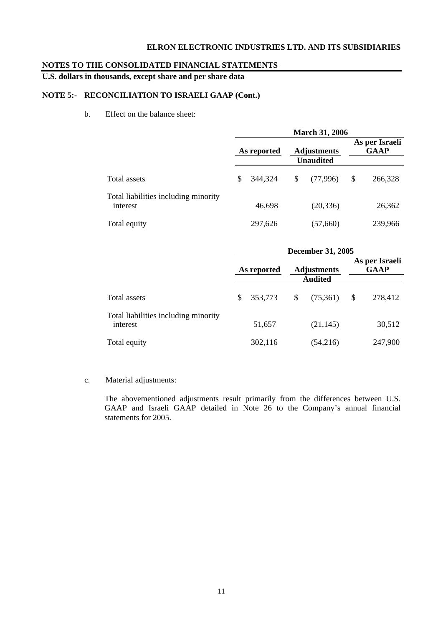# **NOTES TO THE CONSOLIDATED FINANCIAL STATEMENTS**

**U.S. dollars in thousands, except share and per share data** 

# **NOTE 5:- RECONCILIATION TO ISRAELI GAAP (Cont.)**

b. Effect on the balance sheet:

|                                                  | <b>March 31, 2006</b> |             |                                                     |                  |    |         |  |  |  |
|--------------------------------------------------|-----------------------|-------------|-----------------------------------------------------|------------------|----|---------|--|--|--|
|                                                  |                       | As reported | As per Israeli<br><b>GAAP</b><br><b>Adjustments</b> |                  |    |         |  |  |  |
|                                                  |                       |             |                                                     | <b>Unaudited</b> |    |         |  |  |  |
| Total assets                                     | \$                    | 344,324     | S                                                   | (77,996)         | \$ | 266,328 |  |  |  |
| Total liabilities including minority<br>interest |                       | 46,698      |                                                     | (20, 336)        |    | 26,362  |  |  |  |
| Total equity                                     |                       | 297,626     |                                                     | (57,660)         |    | 239,966 |  |  |  |

|                                                  | <b>December 31, 2005</b> |         |                                      |           |                               |         |  |
|--------------------------------------------------|--------------------------|---------|--------------------------------------|-----------|-------------------------------|---------|--|
|                                                  | As reported              |         | <b>Adjustments</b><br><b>Audited</b> |           | As per Israeli<br><b>GAAP</b> |         |  |
|                                                  |                          |         |                                      |           |                               |         |  |
| Total assets                                     | S.                       | 353,773 | \$                                   | (75,361)  | \$                            | 278,412 |  |
| Total liabilities including minority<br>interest |                          | 51,657  |                                      | (21, 145) |                               | 30,512  |  |
| Total equity                                     |                          | 302,116 |                                      | (54,216)  |                               | 247,900 |  |

# c. Material adjustments:

The abovementioned adjustments result primarily from the differences between U.S. GAAP and Israeli GAAP detailed in Note 26 to the Company's annual financial statements for 2005.